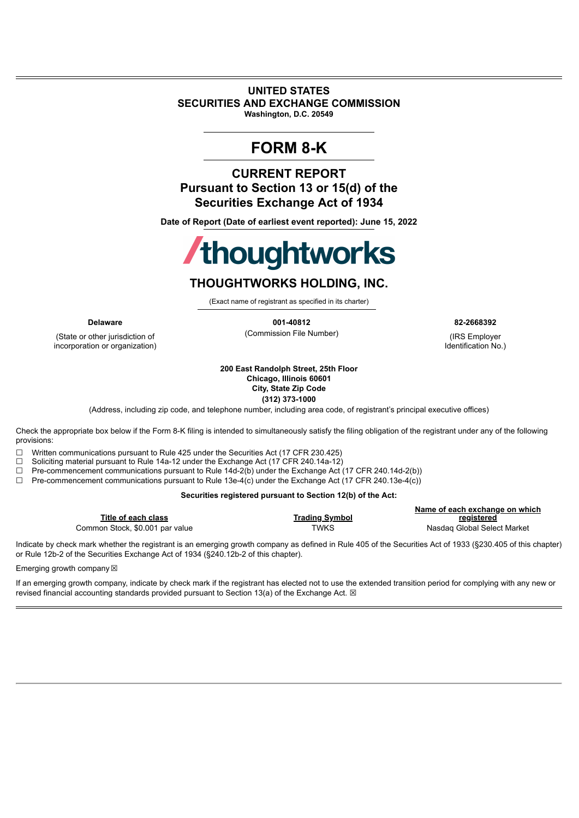#### **UNITED STATES SECURITIES AND EXCHANGE COMMISSION Washington, D.C. 20549**

## **FORM 8-K**

**CURRENT REPORT Pursuant to Section 13 or 15(d) of the Securities Exchange Act of 1934**

**Date of Report (Date of earliest event reported): June 15, 2022**

# **/thoughtworks**

### **THOUGHTWORKS HOLDING, INC.**

(Exact name of registrant as specified in its charter)

(State or other jurisdiction of incorporation or organization)

**Delaware 001-40812 82-2668392** (Commission File Number) (IRS Employer

Identification No.)

**200 East Randolph Street, 25th Floor Chicago, Illinois 60601 City, State Zip Code**

**(312) 373-1000**

(Address, including zip code, and telephone number, including area code, of registrant's principal executive offices)

Check the appropriate box below if the Form 8-K filing is intended to simultaneously satisfy the filing obligation of the registrant under any of the following provisions:

☐ Written communications pursuant to Rule 425 under the Securities Act (17 CFR 230.425)

□ Soliciting material pursuant to Rule 14a-12 under the Exchange Act (17 CFR 240.14a-12)<br>□ Pre-commencement communications pursuant to Rule 14d-2(b) under the Exchange Act Pre-commencement communications pursuant to Rule 14d-2(b) under the Exchange Act (17 CFR 240.14d-2(b))

☐ Pre-commencement communications pursuant to Rule 13e-4(c) under the Exchange Act (17 CFR 240.13e-4(c))

#### **Securities registered pursuant to Section 12(b) of the Act:**

|                                 |                       | Name of each exchange on which |
|---------------------------------|-----------------------|--------------------------------|
| Title of each class             | <b>Trading Symbol</b> | registered                     |
| Common Stock, \$0.001 par value | TWKS                  | Nasdag Global Select Market    |

Indicate by check mark whether the registrant is an emerging growth company as defined in Rule 405 of the Securities Act of 1933 (§230.405 of this chapter) or Rule 12b-2 of the Securities Exchange Act of 1934 (§240.12b-2 of this chapter).

Emerging growth company

If an emerging growth company, indicate by check mark if the registrant has elected not to use the extended transition period for complying with any new or revised financial accounting standards provided pursuant to Section 13(a) of the Exchange Act.  $\boxtimes$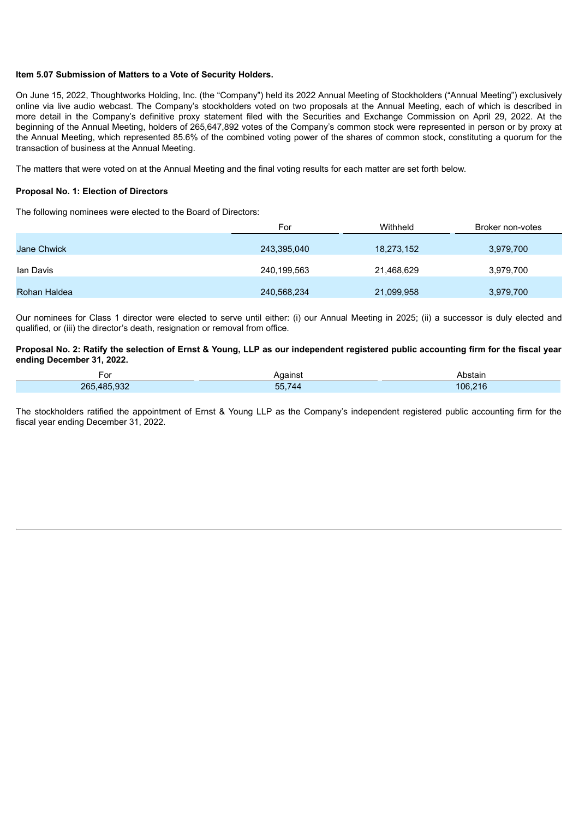#### **Item 5.07 Submission of Matters to a Vote of Security Holders.**

On June 15, 2022, Thoughtworks Holding, Inc. (the "Company") held its 2022 Annual Meeting of Stockholders ("Annual Meeting") exclusively online via live audio webcast. The Company's stockholders voted on two proposals at the Annual Meeting, each of which is described in more detail in the Company's definitive proxy statement filed with the Securities and Exchange Commission on April 29, 2022. At the beginning of the Annual Meeting, holders of 265,647,892 votes of the Company's common stock were represented in person or by proxy at the Annual Meeting, which represented 85.6% of the combined voting power of the shares of common stock, constituting a quorum for the transaction of business at the Annual Meeting.

The matters that were voted on at the Annual Meeting and the final voting results for each matter are set forth below.

#### **Proposal No. 1: Election of Directors**

The following nominees were elected to the Board of Directors:

|              | For         | Withheld   | Broker non-votes |
|--------------|-------------|------------|------------------|
| Jane Chwick  | 243,395,040 | 18,273,152 | 3,979,700        |
| lan Davis    | 240,199,563 | 21,468,629 | 3,979,700        |
| Rohan Haldea | 240,568,234 | 21,099,958 | 3,979,700        |

Our nominees for Class 1 director were elected to serve until either: (i) our Annual Meeting in 2025; (ii) a successor is duly elected and qualified, or (iii) the director's death, resignation or removal from office.

#### Proposal No. 2: Ratify the selection of Ernst & Young, LLP as our independent registered public accounting firm for the fiscal year **ending December 31, 2022.**

| $\sim$<br>'UΙ | Aɑaınst            | Abstain |
|---------------|--------------------|---------|
| 265,485,932   | 55,7<br>- -<br>744 | 106,216 |

The stockholders ratified the appointment of Ernst & Young LLP as the Company's independent registered public accounting firm for the fiscal year ending December 31, 2022.